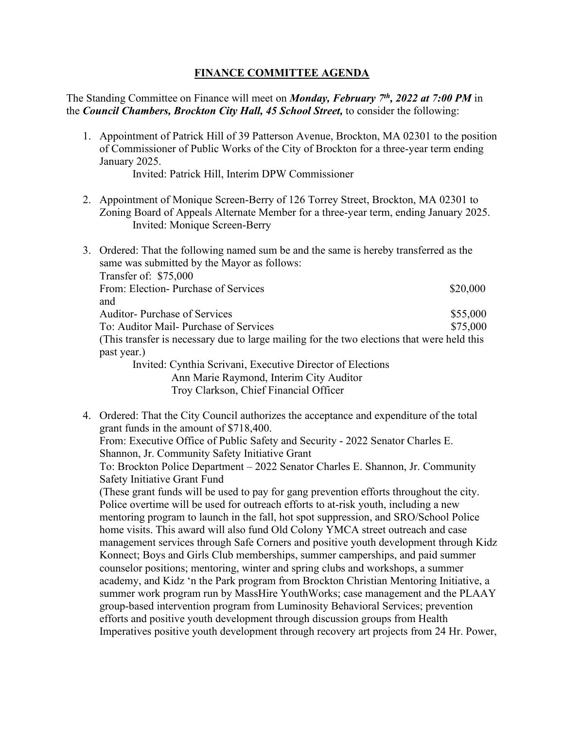## **FINANCE COMMITTEE AGENDA**

 The Standing Committee on Finance will meet on *Monday, February 7th, 2022 at 7:00 PM* in the *Council Chambers, Brockton City Hall, 45 School Street,* to consider the following:

1. Appointment of Patrick Hill of 39 Patterson Avenue, Brockton, MA 02301 to the position of Commissioner of Public Works of the City of Brockton for a three-year term ending January 2025.

Invited: Patrick Hill, Interim DPW Commissioner

- Zoning Board of Appeals Alternate Member for a three-year term, ending January 2025. 2. Appointment of Monique Screen-Berry of 126 Torrey Street, Brockton, MA 02301 to Invited: Monique Screen-Berry
- same was submitted by the Mayor as follows: From: Election- Purchase of Services \$20,000 Auditor- Purchase of Services  $$55,000$ To: Auditor Mail- Purchase of Services  $$75,000$  Invited: Cynthia Scrivani, Executive Director of Elections 3. Ordered: That the following named sum be and the same is hereby transferred as the Transfer of: \$75,000 and (This transfer is necessary due to large mailing for the two elections that were held this past year.)

Ann Marie Raymond, Interim City Auditor

Troy Clarkson, Chief Financial Officer

 4. Ordered: That the City Council authorizes the acceptance and expenditure of the total grant funds in the amount of \$718,400.

From: Executive Office of Public Safety and Security - 2022 Senator Charles E. Shannon, Jr. Community Safety Initiative Grant

 To: Brockton Police Department – 2022 Senator Charles E. Shannon, Jr. Community Safety Initiative Grant Fund

(These grant funds will be used to pay for gang prevention efforts throughout the city. Police overtime will be used for outreach efforts to at-risk youth, including a new mentoring program to launch in the fall, hot spot suppression, and SRO/School Police home visits. This award will also fund Old Colony YMCA street outreach and case management services through Safe Corners and positive youth development through Kidz Konnect; Boys and Girls Club memberships, summer camperships, and paid summer counselor positions; mentoring, winter and spring clubs and workshops, a summer academy, and Kidz 'n the Park program from Brockton Christian Mentoring Initiative, a summer work program run by MassHire YouthWorks; case management and the PLAAY group-based intervention program from Luminosity Behavioral Services; prevention efforts and positive youth development through discussion groups from Health Imperatives positive youth development through recovery art projects from 24 Hr. Power,